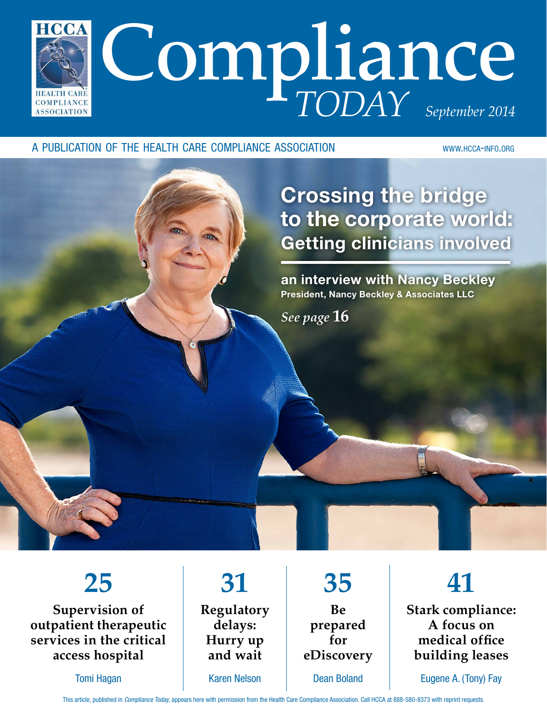

# a publication of the health care compliance association www.hcca-info.org

Crossing the bridge to the corporate world: Getting clinicians involved

an interview with Nancy Beckley President, Nancy Beckley & Associates LLC

*See page* **16**

# **25**

**Supervision of outpatient therapeutic services in the critical access hospital**

Tomi Hagan

**31 Regulatory delays: Hurry up and wait** Karen Nelson

**35 Be prepared for eDiscovery** Dean Boland

**41 Stark compliance: A focus on medical office building leases**

Eugene A. (Tony) Fay

This article, published in *Compliance Today*, appears here with permission from the Health Care Compliance Association. Call HCCA at 888-580-8373 with reprint requests.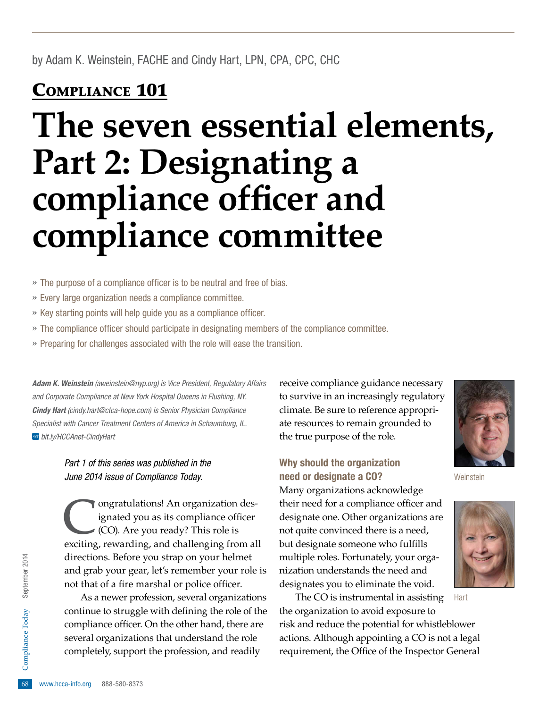# Compliance 101

# **The seven essential elements, Part 2: Designating a compliance officer and compliance committee**

- » The purpose of a compliance officer is to be neutral and free of bias.
- » Every large organization needs a compliance committee.
- » Key starting points will help guide you as a compliance officer.
- » The compliance officer should participate in designating members of the compliance committee.
- » Preparing for challenges associated with the role will ease the transition.

*Adam K. Weinstein [\(aweinstein@nyp.org](mailto:aweinstein@nyp.org)) is Vice President, Regulatory Affairs and Corporate Compliance at New York Hospital Queens in Flushing, NY. Cindy Hart ([cindy.hart@ctca-hope.com](mailto:CINDY.HART@CTCA-HOPE.COM)) is Senior Physician Compliance Specialist with Cancer Treatment Centers of America in Schaumburg, IL.  [bit.ly/HCCAnet-CindyHart](http://bit.ly/HCCAnet-CindyHart)*

> *Part 1 of this series was published in the June 2014 issue of Compliance Today.*

Congratulations! An organization des-<br>ignated you as its compliance officer<br>(CO). Are you ready? This role is<br>exciting rewarding and challenging from al ignated you as its compliance officer (CO). Are you ready? This role is exciting, rewarding, and challenging from all directions. Before you strap on your helmet and grab your gear, let's remember your role is not that of a fire marshal or police officer.

several organization<br>
completely, suppor<br>  $\frac{68}{68}$  www.hcca-info.org 888-580-8373 As a newer profession, several organizations continue to struggle with defining the role of the compliance officer. On the other hand, there are several organizations that understand the role completely, support the profession, and readily

receive compliance guidance necessary to survive in an increasingly regulatory climate. Be sure to reference appropriate resources to remain grounded to the true purpose of the role.

# Why should the organization need or designate a CO?

Many organizations acknowledge their need for a compliance officer and designate one. Other organizations are not quite convinced there is a need, but designate someone who fulfills multiple roles. Fortunately, your organization understands the need and designates you to eliminate the void.

The CO is instrumental in assisting the organization to avoid exposure to risk and reduce the potential for whistleblower actions. Although appointing a CO is not a legal requirement, the Office of the Inspector General Hart



**Weinstein** 



Today September 2014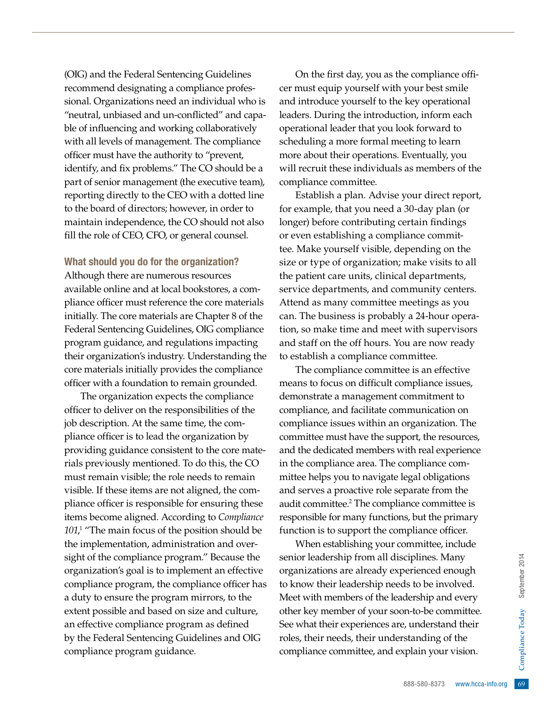(OIG) and the Federal Sentencing Guidelines recommend designating a compliance professional. Organizations need an individual who is "neutral, unbiased and un-conflicted" and capable of influencing and working collaboratively with all levels of management. The compliance officer must have the authority to "prevent, identify, and fix problems." The CO should be a part of senior management (the executive team), reporting directly to the CEO with a dotted line to the board of directors; however, in order to maintain independence, the CO should not also fill the role of CEO, CFO, or general counsel.

## What should you do for the organization?

Although there are numerous resources available online and at local bookstores, a compliance officer must reference the core materials initially. The core materials are Chapter 8 of the Federal Sentencing Guidelines, OIG compliance program guidance, and regulations impacting their organization's industry. Understanding the core materials initially provides the compliance officer with a foundation to remain grounded.

The organization expects the compliance officer to deliver on the responsibilities of the job description. At the same time, the compliance officer is to lead the organization by providing guidance consistent to the core materials previously mentioned. To do this, the CO must remain visible; the role needs to remain visible. If these items are not aligned, the compliance officer is responsible for ensuring these items become aligned. According to *Compliance*  101,<sup>1</sup> "The main focus of the position should be the implementation, administration and oversight of the compliance program." Because the organization's goal is to implement an effective compliance program, the compliance officer has a duty to ensure the program mirrors, to the extent possible and based on size and culture, an effective compliance program as defined by the Federal Sentencing Guidelines and OIG compliance program guidance.

On the first day, you as the compliance officer must equip yourself with your best smile and introduce yourself to the key operational leaders. During the introduction, inform each operational leader that you look forward to scheduling a more formal meeting to learn more about their operations. Eventually, you will recruit these individuals as members of the compliance committee.

Establish a plan. Advise your direct report, for example, that you need a 30-day plan (or longer) before contributing certain findings or even establishing a compliance committee. Make yourself visible, depending on the size or type of organization; make visits to all the patient care units, clinical departments, service departments, and community centers. Attend as many committee meetings as you can. The business is probably a 24-hour operation, so make time and meet with supervisors and staff on the off hours. You are now ready to establish a compliance committee.

The compliance committee is an effective means to focus on difficult compliance issues, demonstrate a management commitment to compliance, and facilitate communication on compliance issues within an organization. The committee must have the support, the resources, and the dedicated members with real experience in the compliance area. The compliance committee helps you to navigate legal obligations and serves a proactive role separate from the audit committee.<sup>2</sup> The compliance committee is responsible for many functions, but the primary function is to support the compliance officer.

sciplines. Many<br>
berienced enough<br>
ds to be involved.<br>
dership and every<br>
on-to-be committee.<br>
e, understand their<br>
standing of the<br>
replain your vision.<br>
888-580-8373 www.hcca-info.org 69 When establishing your committee, include senior leadership from all disciplines. Many organizations are already experienced enough to know their leadership needs to be involved. Meet with members of the leadership and every other key member of your soon-to-be committee. See what their experiences are, understand their roles, their needs, their understanding of the compliance committee, and explain your vision.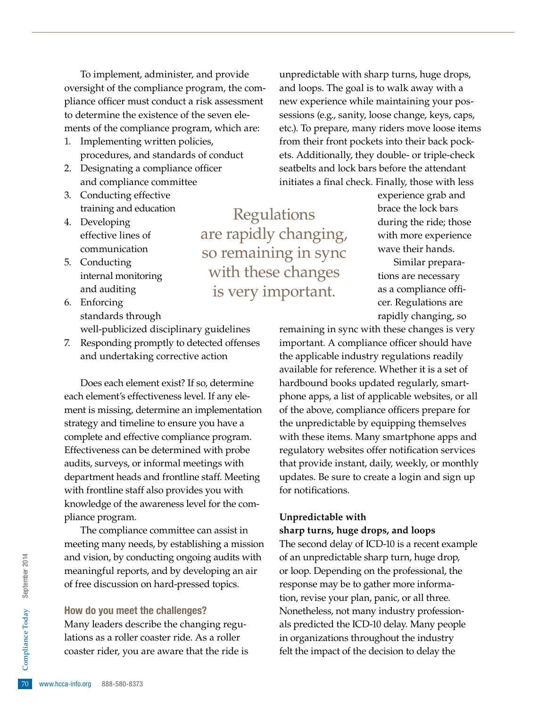To implement, administer, and provide oversight of the compliance program, the compliance officer must conduct a risk assessment to determine the existence of the seven elements of the compliance program, which are:

- 1. Implementing written policies, procedures, and standards of conduct
- 2. Designating a compliance officer and compliance committee
- 3. Conducting effective training and education
- 4. Developing effective lines of communication
- 5. Conducting internal monitoring and auditing
- 6. Enforcing standards through well-publicized disciplinary guidelines
- 7. Responding promptly to detected offenses and undertaking corrective action

Does each element exist? If so, determine each element's effectiveness level. If any element is missing, determine an implementation strategy and timeline to ensure you have a complete and effective compliance program. Effectiveness can be determined with probe audits, surveys, or informal meetings with department heads and frontline staff. Meeting with frontline staff also provides you with knowledge of the awareness level for the compliance program.

The compliance committee can assist in meeting many needs, by establishing a mission and vision, by conducting ongoing audits with meaningful reports, and by developing an air of free discussion on hard-pressed topics.

#### How do you meet the challenges?

Property lations as a roller constant ider, you a<br>constant rider, you a<br>70 www.hcca-info.org 888-580-8373 Many leaders describe the changing regulations as a roller coaster ride. As a roller coaster rider, you are aware that the ride is unpredictable with sharp turns, huge drops, and loops. The goal is to walk away with a new experience while maintaining your possessions (e.g., sanity, loose change, keys, caps, etc.). To prepare, many riders move loose items from their front pockets into their back pockets. Additionally, they double- or triple-check seatbelts and lock bars before the attendant initiates a final check. Finally, those with less

Regulations are rapidly changing, so remaining in sync with these changes is very important.

experience grab and brace the lock bars during the ride; those with more experience wave their hands.

Similar preparations are necessary as a compliance officer. Regulations are rapidly changing, so

remaining in sync with these changes is very important. A compliance officer should have the applicable industry regulations readily available for reference. Whether it is a set of hardbound books updated regularly, smartphone apps, a list of applicable websites, or all of the above, compliance officers prepare for the unpredictable by equipping themselves with these items. Many smartphone apps and regulatory websites offer notification services that provide instant, daily, weekly, or monthly updates. Be sure to create a login and sign up for notifications.

#### **Unpredictable with**

**sharp turns, huge drops, and loops**

The second delay of ICD-10 is a recent example of an unpredictable sharp turn, huge drop, or loop. Depending on the professional, the response may be to gather more information, revise your plan, panic, or all three. Nonetheless, not many industry professionals predicted the ICD-10 delay. Many people in organizations throughout the industry felt the impact of the decision to delay the